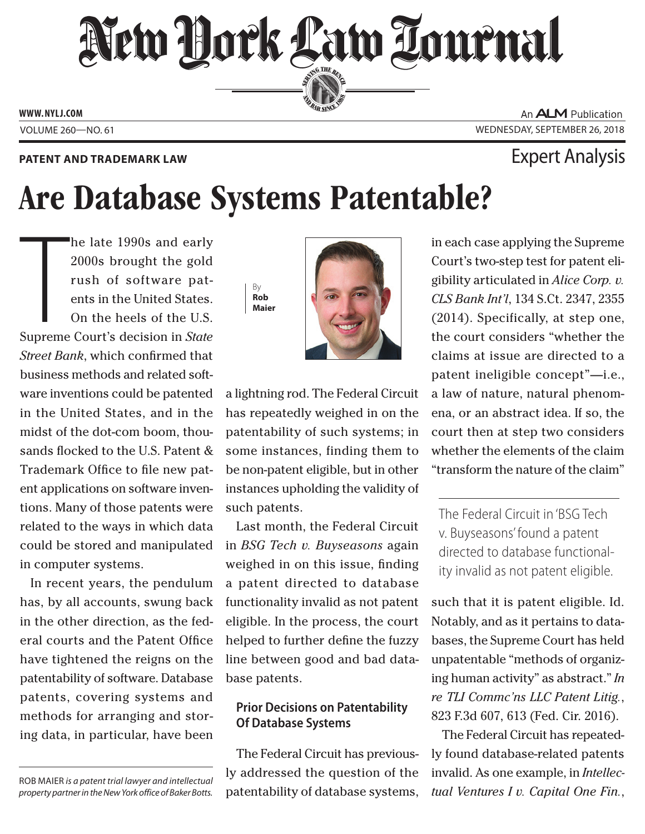# New Hork Law Lournal SERVING THE BEN

**ED BAR SINCE 188** 

**www. NYLJ.com**

An **ALM** Publication Volume 260—NO. 61 Wednesday, September 26, 2018

### **PATENT AND TRADEMARK LAW EXPERIENT AND TRADEMARK LAW**

## Are Database Systems Patentable?

**THE**<br>Supreme he late 1990s and early 2000s brought the gold rush of software patents in the United States. On the heels of the U.S. Supreme Court's decision in *State Street Bank*, which confirmed that business methods and related software inventions could be patented in the United States, and in the midst of the dot-com boom, thousands flocked to the U.S. Patent & Trademark Office to file new patent applications on software inventions. Many of those patents were related to the ways in which data could be stored and manipulated in computer systems.

In recent years, the pendulum has, by all accounts, swung back in the other direction, as the federal courts and the Patent Office have tightened the reigns on the patentability of software. Database patents, covering systems and methods for arranging and storing data, in particular, have been

Rob Maier *is a patent trial lawyer and intellectual property partner in the New York office of Baker Botts.*





a lightning rod. The Federal Circuit has repeatedly weighed in on the patentability of such systems; in some instances, finding them to be non-patent eligible, but in other instances upholding the validity of such patents.

Last month, the Federal Circuit in *BSG Tech v. Buyseasons* again weighed in on this issue, finding a patent directed to database functionality invalid as not patent eligible. In the process, the court helped to further define the fuzzy line between good and bad database patents.

### **Prior Decisions on Patentability Of Database Systems**

The Federal Circuit has previously addressed the question of the patentability of database systems, in each case applying the Supreme Court's two-step test for patent eligibility articulated in *Alice Corp. v. CLS Bank Int'l*, 134 S.Ct. 2347, 2355 (2014). Specifically, at step one, the court considers "whether the claims at issue are directed to a patent ineligible concept"—i.e., a law of nature, natural phenomena, or an abstract idea. If so, the court then at step two considers whether the elements of the claim "transform the nature of the claim"

The Federal Circuit in 'BSG Tech v. Buyseasons' found a patent directed to database functionality invalid as not patent eligible.

such that it is patent eligible. Id. Notably, and as it pertains to databases, the Supreme Court has held unpatentable "methods of organizing human activity" as abstract." *In re TLI Commc'ns LLC Patent Litig.*, 823 F.3d 607, 613 (Fed. Cir. 2016).

The Federal Circuit has repeatedly found database-related patents invalid. As one example, in *Intellectual Ventures I v. Capital One Fin.*,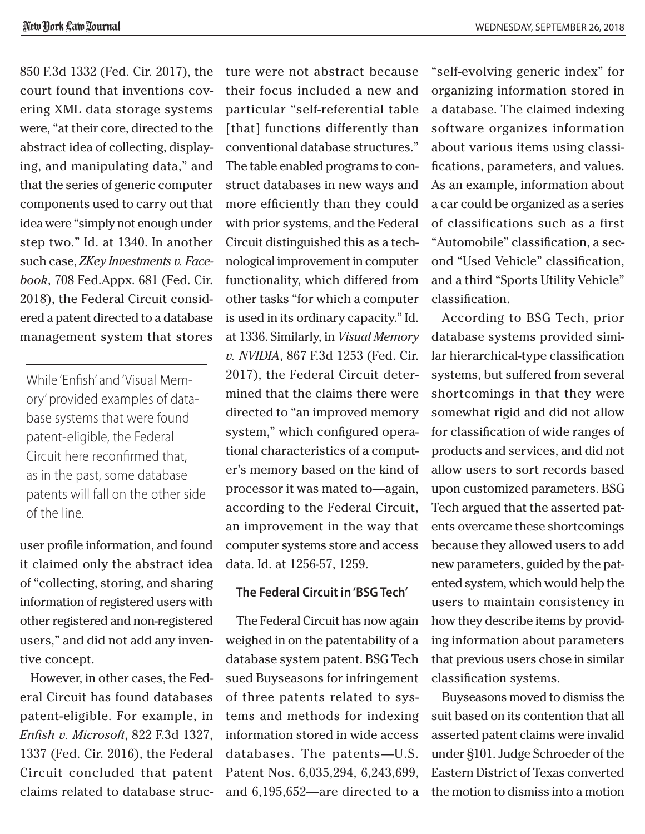850 F.3d 1332 (Fed. Cir. 2017), the court found that inventions covering XML data storage systems were, "at their core, directed to the abstract idea of collecting, displaying, and manipulating data," and that the series of generic computer components used to carry out that idea were "simply not enough under step two." Id. at 1340. In another such case, *ZKey Investments v. Facebook*, 708 Fed.Appx. 681 (Fed. Cir. 2018), the Federal Circuit considered a patent directed to a database management system that stores

While 'Enfish' and 'Visual Memory' provided examples of database systems that were found patent-eligible, the Federal Circuit here reconfirmed that, as in the past, some database patents will fall on the other side of the line.

user profile information, and found it claimed only the abstract idea of "collecting, storing, and sharing information of registered users with other registered and non-registered users," and did not add any inventive concept.

However, in other cases, the Federal Circuit has found databases patent-eligible. For example, in *Enfish v. Microsoft*, 822 F.3d 1327, 1337 (Fed. Cir. 2016), the Federal Circuit concluded that patent claims related to database structure were not abstract because their focus included a new and particular "self-referential table [that] functions differently than conventional database structures." The table enabled programs to construct databases in new ways and more efficiently than they could with prior systems, and the Federal Circuit distinguished this as a technological improvement in computer functionality, which differed from other tasks "for which a computer is used in its ordinary capacity." Id. at 1336. Similarly, in *Visual Memory v. NVIDIA*, 867 F.3d 1253 (Fed. Cir. 2017), the Federal Circuit determined that the claims there were directed to "an improved memory system," which configured operational characteristics of a computer's memory based on the kind of processor it was mated to—again, according to the Federal Circuit, an improvement in the way that computer systems store and access data. Id. at 1256-57, 1259.

#### **The Federal Circuit in 'BSG Tech'**

The Federal Circuit has now again weighed in on the patentability of a database system patent. BSG Tech sued Buyseasons for infringement of three patents related to systems and methods for indexing information stored in wide access databases. The patents—U.S. Patent Nos. 6,035,294, 6,243,699, and 6,195,652—are directed to a

"self-evolving generic index" for organizing information stored in a database. The claimed indexing software organizes information about various items using classifications, parameters, and values. As an example, information about a car could be organized as a series of classifications such as a first "Automobile" classification, a second "Used Vehicle" classification, and a third "Sports Utility Vehicle" classification.

According to BSG Tech, prior database systems provided similar hierarchical-type classification systems, but suffered from several shortcomings in that they were somewhat rigid and did not allow for classification of wide ranges of products and services, and did not allow users to sort records based upon customized parameters. BSG Tech argued that the asserted patents overcame these shortcomings because they allowed users to add new parameters, guided by the patented system, which would help the users to maintain consistency in how they describe items by providing information about parameters that previous users chose in similar classification systems.

Buyseasons moved to dismiss the suit based on its contention that all asserted patent claims were invalid under §101. Judge Schroeder of the Eastern District of Texas converted the motion to dismiss into a motion